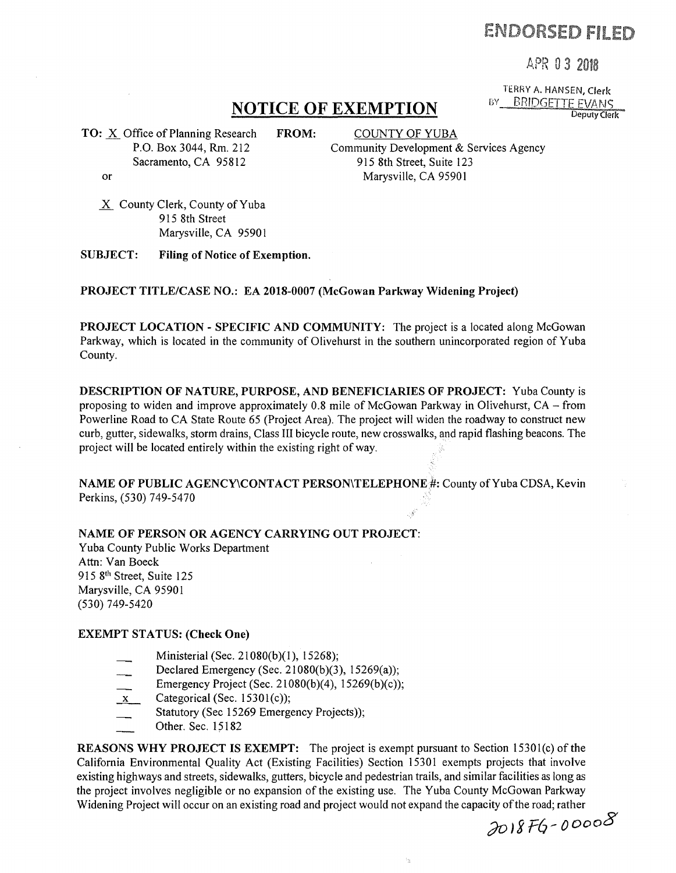# ENDORSED FILMD

.4PR 0 3

Deputy Clerk

TERRY A. HANSEN, Clerk<br>BY BRIDGETTE FVANS

## **NOTICE OF EXEMPTION**

TO: X Office of Planning Research FROM: COUNTY OF YUBA P.O. Box 3044, Rm. 212 Sacramento, CA 95812 or

Community Development & Services Agency 915 8th Street, Suite 123 Marysville, CA 95901

 $X$  County Clerk, County of Yuba 915 8th Street Marysville, CA 95901

SUBJECT: Filing of Notice of Exemption.

PROJECT TITLE/CASE NO.: EA 2018-0007 (McGowan Parkway Widening Project)

PROJECT LOCATION - SPECIFIC AND COMMUNITY: The project is a located along McGowan Parkway, which is located in the community of Olivehurst in the southern unincorporated region of Yuba County.

DESCRIPTION OF NATURE, PURPOSE, AND BENEFICIARIES OF PROJECT: Yuba County is proposing to widen and improve approximately 0.8 mile of McGowan Parkway in Olivehurst, CA- from Powerline Road to CA State Route 65 (Project Area). The project will widen the roadway to construct new curb, gutter, sidewalks, storm drains, Class III bicycle route, new crosswalks, and rapid flashing beacons. The project will be located entirely within the existing right of way.

NAME OF PUBLIC AGENCY\CONTACT PERSON\TELEPHONE#: County of Yuba CDSA, Kevin Perkins, (530) 749-5470 '

### NAME OF PERSON OR AGENCY CARRYING OUT PROJECT:

Yuba County Public Works Department Attn: Van Boeck 915 8<sup>th</sup> Street, Suite 125 Marysville, CA 95901 (530) 749-5420

#### EXEMPT STATUS: (Check One)

- Ministerial (Sec. 21080(b)(1), 15268);
- Declared Emergency (Sec. 21080(b)(3), 15269(a));
- Emergency Project (Sec. 21 080(b)(4), 15269(b)(c));
- $x$  Categorical (Sec. 15301(c));
- Statutory (Sec 15269 Emergency Projects));
- Other. Sec. 15182

REASONS WHY PROJECT IS EXEMPT: The project is exempt pursuant to Section 15301(c) of the California Environmental Quality Act (Existing Facilities) Section 15301 exempts projects that involve existing highways and streets, sidewalks, gutters, bicycle and pedestrian trails, and similar facilities as long as the project involves negligible or no expansion of the existing use. The Yuba County McGowan Parkway Widening Project will occur on an existing road and project would not expand the capacity of the road; rather

 $\mathbb{S}_2$ 

;)oJg F6- *oooo8*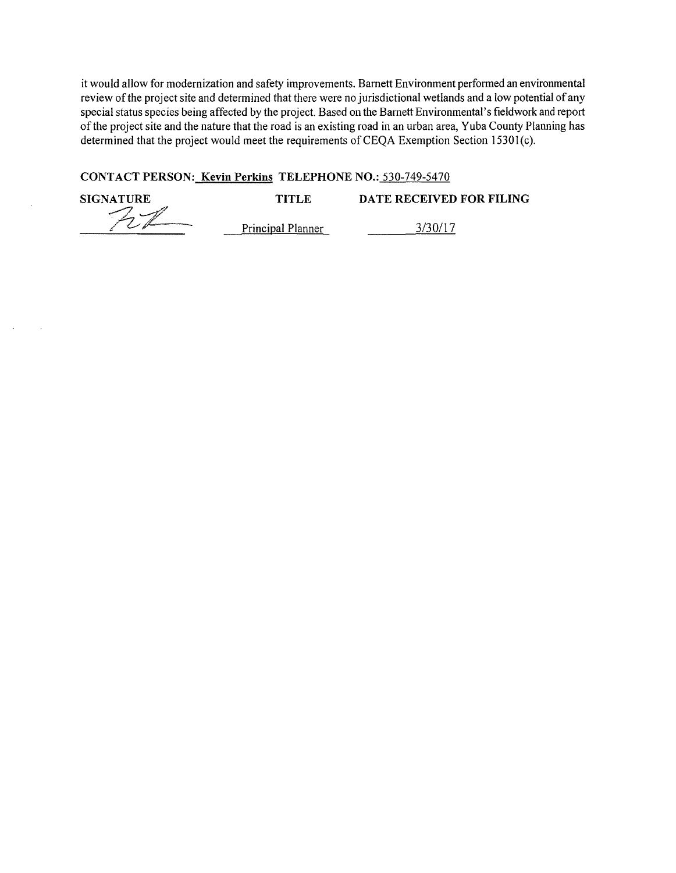it would allow for modernization and safety improvements. Barnett Environment performed an environmental review of the project site and determined that there were no jurisdictional wetlands and a low potential of any special status species being affected by the project. Based on the Barnett Environmental's fieldwork and report of the project site and the nature that the road is an existing road in an urban area, Yuba County Planning has determined that the project would meet the requirements of CEQA Exemption Section 15301(c).

### **CONTACT PERSON: Kevin Perkins TELEPHONE NO.:** 530-749-5470

| <b>SIGNATURE</b> | TITLE             | DATE RECEIVED FOR FILING |
|------------------|-------------------|--------------------------|
|                  |                   |                          |
|                  | Principal Planner | 3/30/17                  |